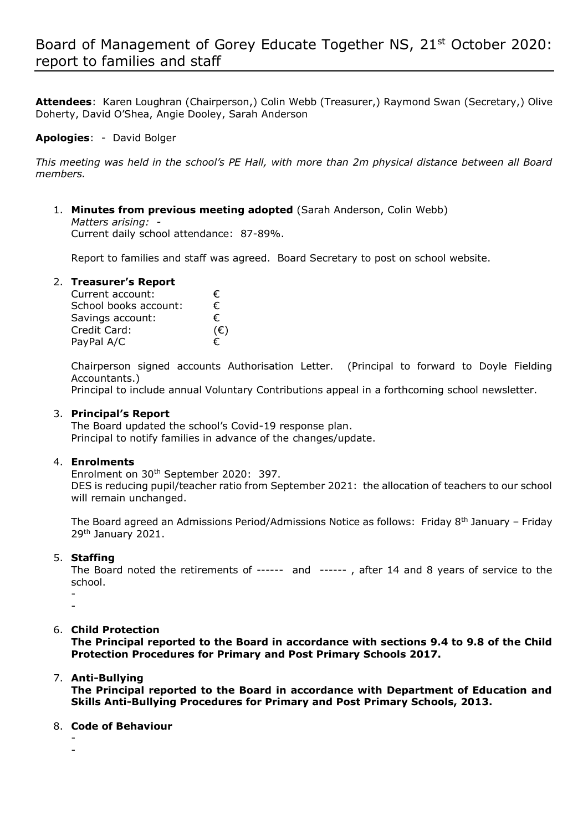**Attendees**: Karen Loughran (Chairperson,) Colin Webb (Treasurer,) Raymond Swan (Secretary,) Olive Doherty, David O'Shea, Angie Dooley, Sarah Anderson

# **Apologies**: - David Bolger

*This meeting was held in the school's PE Hall, with more than 2m physical distance between all Board members.*

1. **Minutes from previous meeting adopted** (Sarah Anderson, Colin Webb) *Matters arising: -*  Current daily school attendance: 87-89%.

Report to families and staff was agreed. Board Secretary to post on school website.

### 2. **Treasurer's Report**

| Current account:      | €.           |
|-----------------------|--------------|
| School books account: | €.           |
| Savings account:      | €            |
| Credit Card:          | $(\epsilon)$ |
| PayPal A/C            | €            |

Chairperson signed accounts Authorisation Letter. (Principal to forward to Doyle Fielding Accountants.)

Principal to include annual Voluntary Contributions appeal in a forthcoming school newsletter.

## 3. **Principal's Report**

The Board updated the school's Covid-19 response plan. Principal to notify families in advance of the changes/update.

### 4. **Enrolments**

Enrolment on 30<sup>th</sup> September 2020: 397.

DES is reducing pupil/teacher ratio from September 2021: the allocation of teachers to our school will remain unchanged.

The Board agreed an Admissions Period/Admissions Notice as follows: Friday 8th January – Friday 29th January 2021.

## 5. **Staffing**

The Board noted the retirements of ------ and ------ , after 14 and 8 years of service to the school.

- -

# 6. **Child Protection**

**The Principal reported to the Board in accordance with sections 9.4 to 9.8 of the Child Protection Procedures for Primary and Post Primary Schools 2017.**

# 7. **Anti-Bullying**

**The Principal reported to the Board in accordance with Department of Education and Skills Anti-Bullying Procedures for Primary and Post Primary Schools, 2013.**

### 8. **Code of Behaviour**

- -